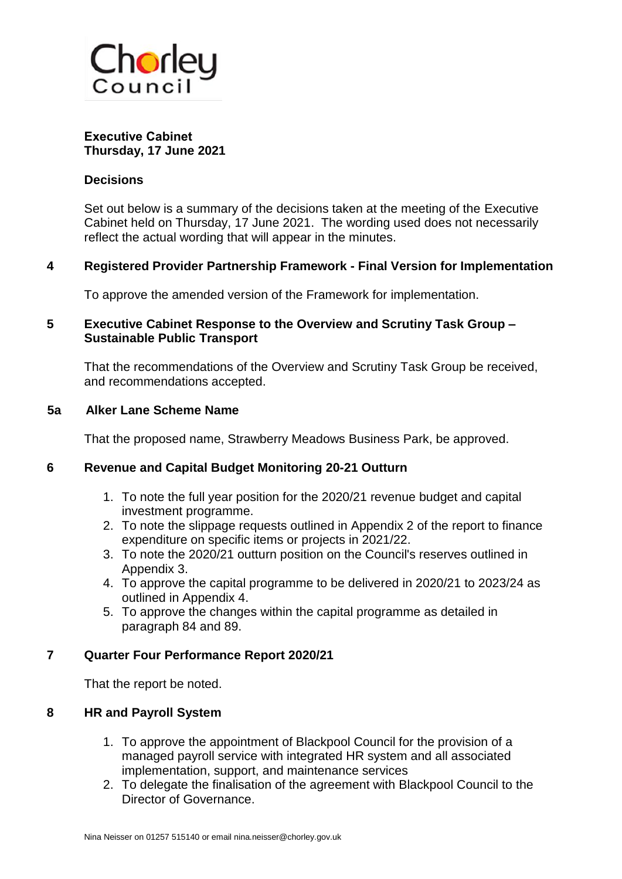

#### **Executive Cabinet Thursday, 17 June 2021**

#### **Decisions**

Set out below is a summary of the decisions taken at the meeting of the Executive Cabinet held on Thursday, 17 June 2021. The wording used does not necessarily reflect the actual wording that will appear in the minutes.

#### **4 Registered Provider Partnership Framework - Final Version for Implementation**

To approve the amended version of the Framework for implementation.

### **5 Executive Cabinet Response to the Overview and Scrutiny Task Group – Sustainable Public Transport**

That the recommendations of the Overview and Scrutiny Task Group be received, and recommendations accepted.

#### **5a Alker Lane Scheme Name**

That the proposed name, Strawberry Meadows Business Park, be approved.

#### **6 Revenue and Capital Budget Monitoring 20-21 Outturn**

- 1. To note the full year position for the 2020/21 revenue budget and capital investment programme.
- 2. To note the slippage requests outlined in Appendix 2 of the report to finance expenditure on specific items or projects in 2021/22.
- 3. To note the 2020/21 outturn position on the Council's reserves outlined in Appendix 3.
- 4. To approve the capital programme to be delivered in 2020/21 to 2023/24 as outlined in Appendix 4.
- 5. To approve the changes within the capital programme as detailed in paragraph 84 and 89.

#### **7 Quarter Four Performance Report 2020/21**

That the report be noted.

#### **8 HR and Payroll System**

- 1. To approve the appointment of Blackpool Council for the provision of a managed payroll service with integrated HR system and all associated implementation, support, and maintenance services
- 2. To delegate the finalisation of the agreement with Blackpool Council to the Director of Governance.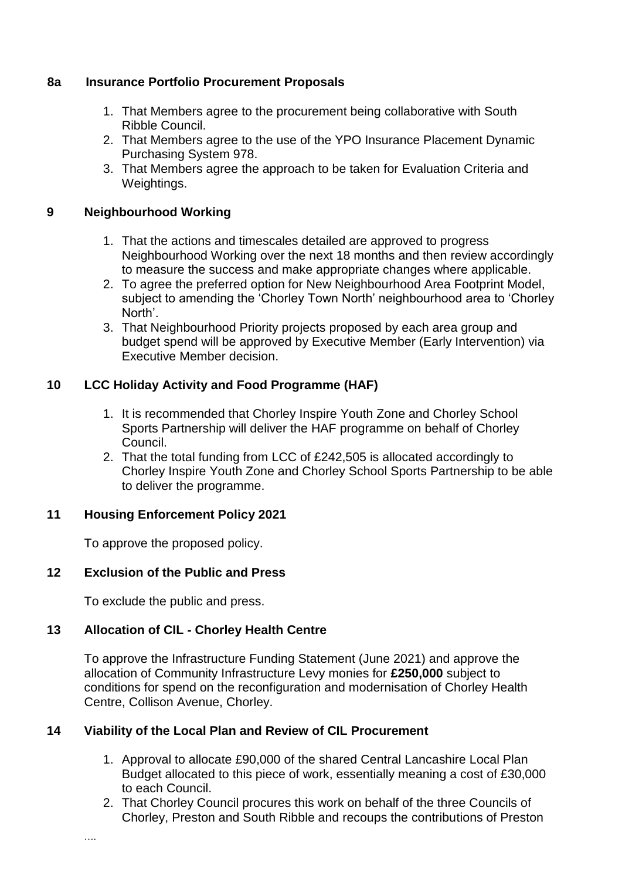### **8a Insurance Portfolio Procurement Proposals**

- 1. That Members agree to the procurement being collaborative with South Ribble Council.
- 2. That Members agree to the use of the YPO Insurance Placement Dynamic Purchasing System 978.
- 3. That Members agree the approach to be taken for Evaluation Criteria and Weightings.

### **9 Neighbourhood Working**

- 1. That the actions and timescales detailed are approved to progress Neighbourhood Working over the next 18 months and then review accordingly to measure the success and make appropriate changes where applicable.
- 2. To agree the preferred option for New Neighbourhood Area Footprint Model, subject to amending the 'Chorley Town North' neighbourhood area to 'Chorley North'.
- 3. That Neighbourhood Priority projects proposed by each area group and budget spend will be approved by Executive Member (Early Intervention) via Executive Member decision.

# **10 LCC Holiday Activity and Food Programme (HAF)**

- 1. It is recommended that Chorley Inspire Youth Zone and Chorley School Sports Partnership will deliver the HAF programme on behalf of Chorley Council.
- 2. That the total funding from LCC of £242,505 is allocated accordingly to Chorley Inspire Youth Zone and Chorley School Sports Partnership to be able to deliver the programme.

# **11 Housing Enforcement Policy 2021**

To approve the proposed policy.

# **12 Exclusion of the Public and Press**

To exclude the public and press.

# **13 Allocation of CIL - Chorley Health Centre**

To approve the Infrastructure Funding Statement (June 2021) and approve the allocation of Community Infrastructure Levy monies for **£250,000** subject to conditions for spend on the reconfiguration and modernisation of Chorley Health Centre, Collison Avenue, Chorley.

# **14 Viability of the Local Plan and Review of CIL Procurement**

- 1. Approval to allocate £90,000 of the shared Central Lancashire Local Plan Budget allocated to this piece of work, essentially meaning a cost of £30,000 to each Council.
- 2. That Chorley Council procures this work on behalf of the three Councils of Chorley, Preston and South Ribble and recoups the contributions of Preston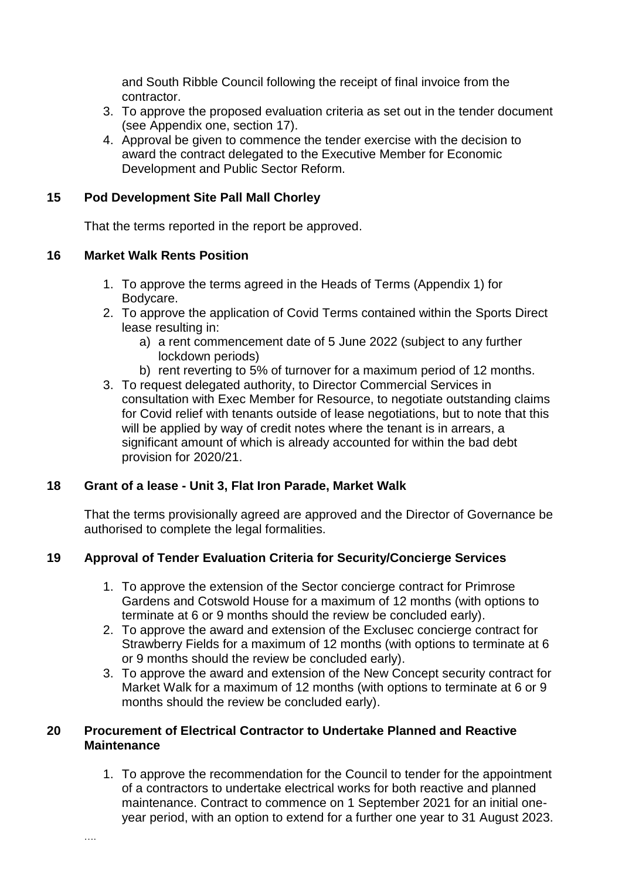and South Ribble Council following the receipt of final invoice from the contractor.

- 3. To approve the proposed evaluation criteria as set out in the tender document (see Appendix one, section 17).
- 4. Approval be given to commence the tender exercise with the decision to award the contract delegated to the Executive Member for Economic Development and Public Sector Reform.

### **15 Pod Development Site Pall Mall Chorley**

That the terms reported in the report be approved.

### **16 Market Walk Rents Position**

- 1. To approve the terms agreed in the Heads of Terms (Appendix 1) for Bodycare.
- 2. To approve the application of Covid Terms contained within the Sports Direct lease resulting in:
	- a) a rent commencement date of 5 June 2022 (subject to any further lockdown periods)
	- b) rent reverting to 5% of turnover for a maximum period of 12 months.
- 3. To request delegated authority, to Director Commercial Services in consultation with Exec Member for Resource, to negotiate outstanding claims for Covid relief with tenants outside of lease negotiations, but to note that this will be applied by way of credit notes where the tenant is in arrears, a significant amount of which is already accounted for within the bad debt provision for 2020/21.

# **18 Grant of a lease - Unit 3, Flat Iron Parade, Market Walk**

That the terms provisionally agreed are approved and the Director of Governance be authorised to complete the legal formalities.

# **19 Approval of Tender Evaluation Criteria for Security/Concierge Services**

- 1. To approve the extension of the Sector concierge contract for Primrose Gardens and Cotswold House for a maximum of 12 months (with options to terminate at 6 or 9 months should the review be concluded early).
- 2. To approve the award and extension of the Exclusec concierge contract for Strawberry Fields for a maximum of 12 months (with options to terminate at 6 or 9 months should the review be concluded early).
- 3. To approve the award and extension of the New Concept security contract for Market Walk for a maximum of 12 months (with options to terminate at 6 or 9 months should the review be concluded early).

### **20 Procurement of Electrical Contractor to Undertake Planned and Reactive Maintenance**

1. To approve the recommendation for the Council to tender for the appointment of a contractors to undertake electrical works for both reactive and planned maintenance. Contract to commence on 1 September 2021 for an initial oneyear period, with an option to extend for a further one year to 31 August 2023.